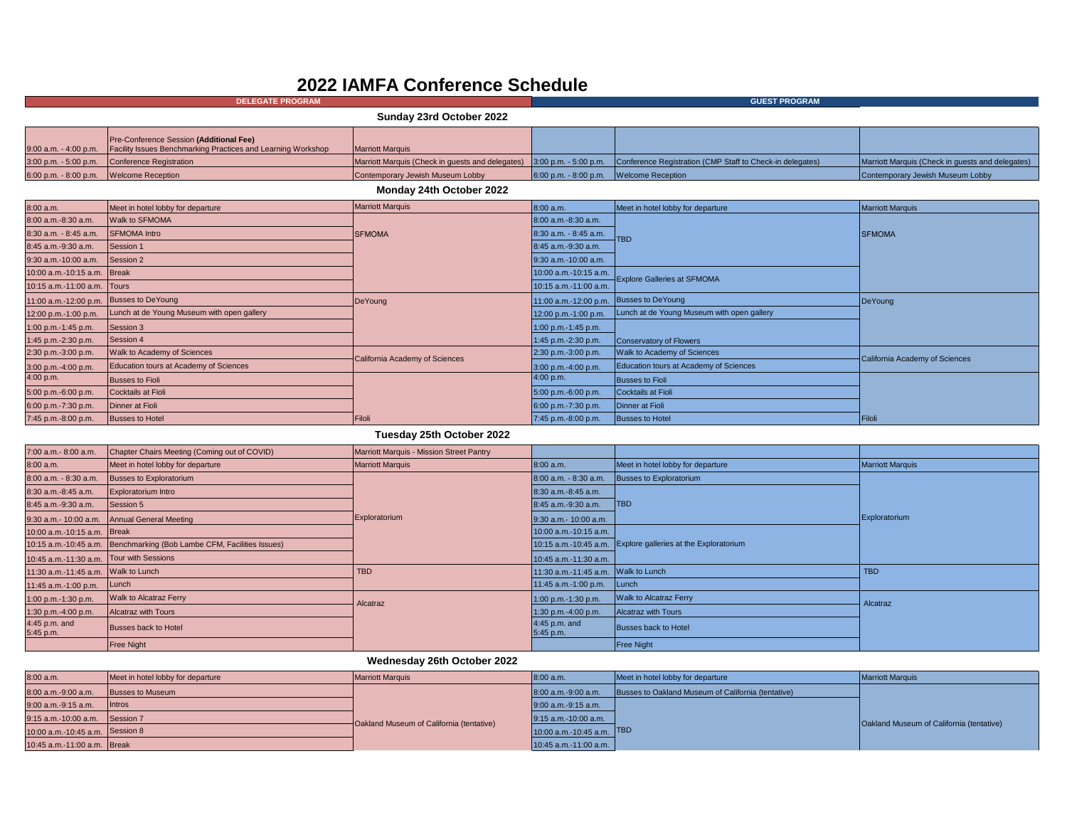## **2022 IAMFA Conference Schedule**

| <b>DELEGATE PROGRAM</b>                 |                                                                                                                               | <b>GUEST PROGRAM</b>             |                                            |                                                                                                                                  |                                                  |
|-----------------------------------------|-------------------------------------------------------------------------------------------------------------------------------|----------------------------------|--------------------------------------------|----------------------------------------------------------------------------------------------------------------------------------|--------------------------------------------------|
|                                         |                                                                                                                               | Sunday 23rd October 2022         |                                            |                                                                                                                                  |                                                  |
|                                         | Pre-Conference Session (Additional Fee)<br>9:00 a.m. - 4:00 p.m. Facility Issues Benchmarking Practices and Learning Workshop | <b>Marriott Marquis</b>          |                                            |                                                                                                                                  |                                                  |
|                                         | 3:00 p.m. - 5:00 p.m. Conference Registration                                                                                 |                                  |                                            | Marriott Marquis (Check in quests and delegates) 3:00 p.m. - 5:00 p.m. Conference Registration (CMP Staff to Check-in delegates) | Marriott Marquis (Check in quests and delegates) |
| 6:00 p.m. - 8:00 p.m. Welcome Reception |                                                                                                                               | Contemporary Jewish Museum Lobby | $6:00$ p.m. $-8:00$ p.m. Welcome Reception |                                                                                                                                  | Contemporary Jewish Museum Lobby                 |
|                                         |                                                                                                                               |                                  |                                            |                                                                                                                                  |                                                  |

## **Monday 24th October 2022**

| 8:00 a.m.                   | Meet in hotel lobby for departure          | <b>Marriott Marquis</b>        | 8:00 a.m.             | Meet in hotel lobby for departure          | <b>Marriott Marquis</b>        |
|-----------------------------|--------------------------------------------|--------------------------------|-----------------------|--------------------------------------------|--------------------------------|
| 8:00 a.m.-8:30 a.m.         | <b>Walk to SFMOMA</b>                      |                                | 8:00 a.m.-8:30 a.m.   |                                            |                                |
| 8:30 a.m. - 8:45 a.m.       | <b>SFMOMA</b> Intro                        | <b>SFMOMA</b>                  | 8:30 a.m. - 8:45 a.m. | <b>TBD</b>                                 | <b>SFMOMA</b>                  |
| 8:45 a.m.-9:30 a.m.         | Session 1                                  |                                | 8:45 a.m.-9:30 a.m.   |                                            |                                |
| 9:30 a.m.-10:00 a.m.        | Session 2                                  |                                | 9:30 a.m.-10:00 a.m.  |                                            |                                |
| 10:00 a.m.-10:15 a.m. Break |                                            |                                | 10:00 a.m.-10:15 a.m. | <b>Explore Galleries at SFMOMA</b>         |                                |
| 10:15 a.m.-11:00 a.m. Tours |                                            |                                | 10:15 a.m.-11:00 a.m. |                                            |                                |
| 11:00 a.m.-12:00 p.m.       | Busses to DeYoung                          | DeYoung                        | 11:00 a.m.-12:00 p.m. | <b>Busses to DeYoung</b>                   | DeYoung                        |
| 12:00 p.m.-1:00 p.m.        | Lunch at de Young Museum with open gallery |                                | 12:00 p.m.-1:00 p.m.  | Lunch at de Young Museum with open gallery |                                |
| 1:00 p.m.-1:45 p.m.         | Session 3                                  |                                | 1:00 p.m.-1:45 p.m.   |                                            |                                |
| 1:45 p.m.-2:30 p.m.         | Session 4                                  |                                | 1:45 p.m.-2:30 p.m.   | Conservatory of Flowers                    |                                |
| 2:30 p.m.-3:00 p.m.         | Walk to Academy of Sciences                | California Academy of Sciences | 2:30 p.m.-3:00 p.m.   | Walk to Academy of Sciences                | California Academy of Sciences |
| 3:00 p.m.-4:00 p.m.         | Education tours at Academy of Sciences     |                                | 3:00 p.m.-4:00 p.m.   | Education tours at Academy of Sciences     |                                |
| 4:00 p.m.                   | <b>Busses to Fioli</b>                     |                                | 4:00 p.m.             | Busses to Fioli                            |                                |
| 5:00 p.m.-6:00 p.m.         | Cocktails at Fioli                         |                                | 5:00 p.m.-6:00 p.m.   | Cocktails at Fioli                         |                                |
| 6:00 p.m.-7:30 p.m.         | Dinner at Fioli                            |                                | 6:00 p.m.-7:30 p.m.   | Dinner at Fioli                            |                                |
| 7:45 p.m.-8:00 p.m.         | Busses to Hotel                            | Filoli                         | 7:45 p.m.-8:00 p.m.   | <b>Busses to Hotel</b>                     | Filoli                         |

## **Tuesday 25th October 2022**

| 7:00 a.m.- 8:00 a.m.                     | Chapter Chairs Meeting (Coming out of COVID)                          | <b>Marriott Marquis - Mission Street Pantry</b> |                            |                                                              |                         |
|------------------------------------------|-----------------------------------------------------------------------|-------------------------------------------------|----------------------------|--------------------------------------------------------------|-------------------------|
| 8:00 a.m.                                | Meet in hotel lobby for departure                                     | <b>Marriott Marquis</b>                         | 8:00 a.m.                  | Meet in hotel lobby for departure                            | <b>Marriott Marquis</b> |
| 8:00 a.m. - 8:30 a.m.                    | <b>Busses to Exploratorium</b>                                        |                                                 | 8:00 a.m. - 8:30 a.m.      | <b>Busses to Exploratorium</b>                               | Exploratorium           |
| 8:30 a.m.-8:45 a.m.                      | <b>Exploratorium Intro</b>                                            |                                                 | 8:30 a.m.-8:45 a.m.        | <b>ITBD</b>                                                  |                         |
| 8:45 a.m.-9:30 a.m.                      | Session 5                                                             |                                                 | 8:45 a.m.-9:30 a.m.        |                                                              |                         |
|                                          | 9:30 a.m.- 10:00 a.m. Annual General Meeting                          | Exploratorium                                   | 9:30 a.m.- 10:00 a.m.      |                                                              |                         |
| 10:00 a.m.-10:15 a.m. Break              |                                                                       |                                                 | 10:00 a.m.-10:15 a.m.      | 10:15 a.m.-10:45 a.m. Explore galleries at the Exploratorium |                         |
|                                          | 10:15 a.m.-10:45 a.m. Benchmarking (Bob Lambe CFM, Facilities Issues) |                                                 |                            |                                                              |                         |
| 10:45 a.m.-11:30 a.m. Tour with Sessions |                                                                       |                                                 | 10:45 a.m.-11:30 a.m.      |                                                              |                         |
| 11:30 a.m.-11:45 a.m. Walk to Lunch      |                                                                       | <b>TBD</b>                                      | 11:30 a.m.-11:45 a.m.      | <b>Walk to Lunch</b>                                         | <b>TBD</b>              |
| 11:45 a.m.-1:00 p.m.                     | <b>Lunch</b>                                                          |                                                 | 11:45 a.m.-1:00 p.m.       | Lunch                                                        |                         |
| 1:00 p.m.-1:30 p.m.                      | <b>Walk to Alcatraz Ferry</b>                                         | Alcatraz                                        | 1:00 p.m.-1:30 p.m.        | <b>Walk to Alcatraz Ferry</b>                                | Alcatraz                |
| 1:30 p.m.-4:00 p.m.                      | <b>Alcatraz with Tours</b>                                            |                                                 | 1:30 p.m.-4:00 p.m.        | <b>Alcatraz with Tours</b>                                   |                         |
| 4:45 p.m. and<br>5:45 p.m.               | Busses back to Hotel                                                  |                                                 | 4:45 p.m. and<br>5:45 p.m. | <b>Busses back to Hotel</b>                                  |                         |
|                                          | <b>Free Night</b>                                                     |                                                 |                            | <b>Free Night</b>                                            |                         |

## **Wednesday 26th October 2022**

| 8:00 a.m.                       | Meet in hotel lobby for departure | <b>Marriott Marquis</b>                  | 8:00 a.m.                 | Meet in hotel lobby for departure                  | <b>Marriott Marquis</b>                  |
|---------------------------------|-----------------------------------|------------------------------------------|---------------------------|----------------------------------------------------|------------------------------------------|
| 8:00 a.m.-9:00 a.m.             | <b>Busses to Museum</b>           |                                          | 8:00 a.m.-9:00 a.m.       | Busses to Oakland Museum of California (tentative) |                                          |
| 9:00 a.m.-9:15 a.m.             | <b>Ilntros</b>                    |                                          | 9:00 a.m.-9:15 a.m.       |                                                    |                                          |
| 9:15 a.m.-10:00 a.m. Session 7  |                                   | Oakland Museum of California (tentative) | $9:15$ a.m.-10:00 a.m.    |                                                    | Oakland Museum of California (tentative) |
| 10:00 a.m.-10:45 a.m. Session 8 |                                   |                                          | 10:00 a.m.-10:45 a.m. TBD |                                                    |                                          |
| 10:45 a.m.-11:00 a.m. Break     |                                   |                                          | 10:45 a.m.-11:00 a.m.     |                                                    |                                          |